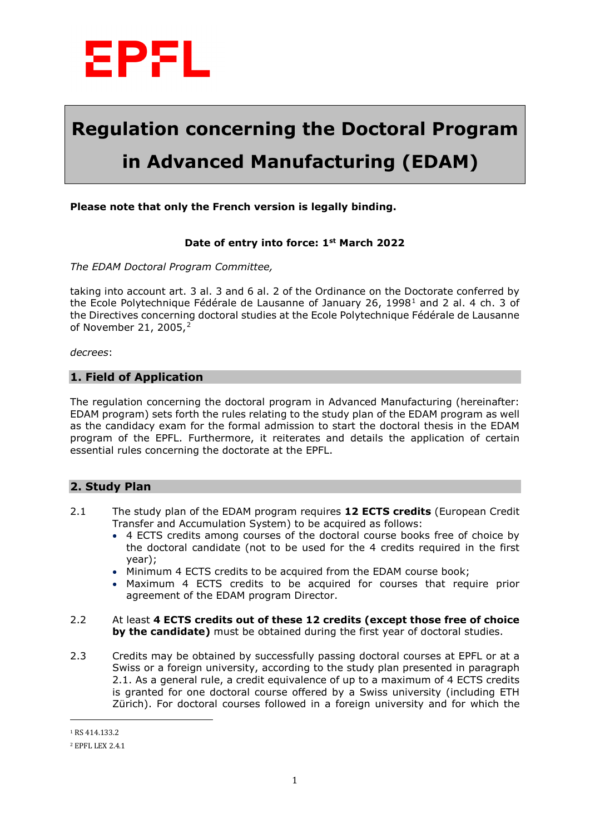

# **Regulation concerning the Doctoral Program in Advanced Manufacturing (EDAM)**

#### **Please note that only the French version is legally binding.**

#### **Date of entry into force: 1st March 2022**

*The EDAM Doctoral Program Committee,* 

taking into account art. 3 al. 3 and 6 al. 2 of the Ordinance on the Doctorate conferred by the Ecole Polytechnique Fédérale de Lausanne of January 26, [1](#page-0-0)998<sup>1</sup> and 2 al. 4 ch. 3 of the Directives concerning doctoral studies at the Ecole Polytechnique Fédérale de Lausanne of November [2](#page-0-1)1, 2005,<sup>2</sup>

*decrees*:

#### **1. Field of Application**

The regulation concerning the doctoral program in Advanced Manufacturing (hereinafter: EDAM program) sets forth the rules relating to the study plan of the EDAM program as well as the candidacy exam for the formal admission to start the doctoral thesis in the EDAM program of the EPFL. Furthermore, it reiterates and details the application of certain essential rules concerning the doctorate at the EPFL.

### **2. Study Plan**

- 2.1 The study plan of the EDAM program requires **12 ECTS credits** (European Credit Transfer and Accumulation System) to be acquired as follows:
	- 4 ECTS credits among courses of the doctoral course books free of choice by the doctoral candidate (not to be used for the 4 credits required in the first year);
	- Minimum 4 ECTS credits to be acquired from the EDAM course book;
	- Maximum 4 ECTS credits to be acquired for courses that require prior agreement of the EDAM program Director.
- 2.2 At least **4 ECTS credits out of these 12 credits (except those free of choice by the candidate)** must be obtained during the first year of doctoral studies.
- 2.3 Credits may be obtained by successfully passing doctoral courses at EPFL or at a Swiss or a foreign university, according to the study plan presented in paragraph 2.1. As a general rule, a credit equivalence of up to a maximum of 4 ECTS credits is granted for one doctoral course offered by a Swiss university (including ETH Zürich). For doctoral courses followed in a foreign university and for which the

 $\overline{a}$ 

<span id="page-0-0"></span><sup>1</sup> RS 414.133.2

<span id="page-0-1"></span><sup>2</sup> EPFL LEX 2.4.1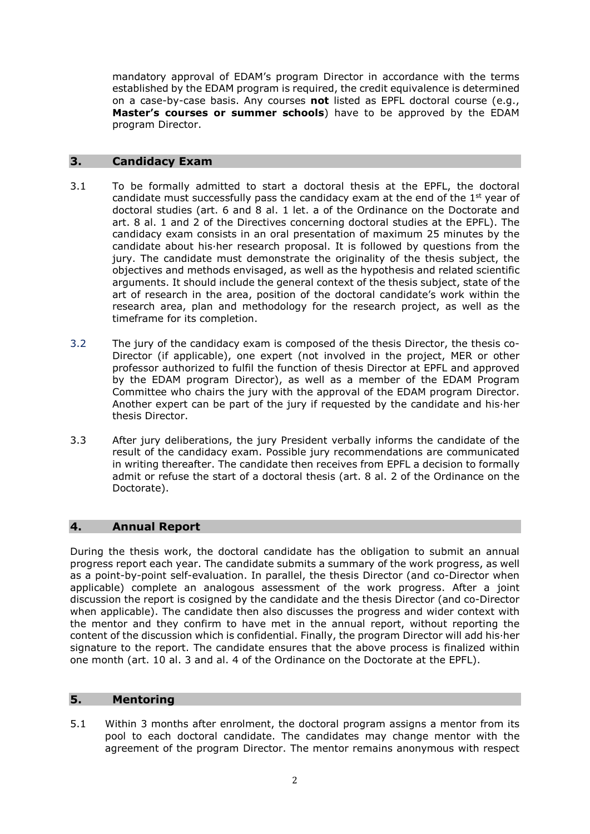mandatory approval of EDAM's program Director in accordance with the terms established by the EDAM program is required, the credit equivalence is determined on a case-by-case basis. Any courses **not** listed as EPFL doctoral course (e.g., **Master's courses or summer schools**) have to be approved by the EDAM program Director.

### **3. Candidacy Exam**

- 3.1 To be formally admitted to start a doctoral thesis at the EPFL, the doctoral candidate must successfully pass the candidacy exam at the end of the  $1<sup>st</sup>$  year of doctoral studies (art. 6 and 8 al. 1 let. a of the Ordinance on the Doctorate and art. 8 al. 1 and 2 of the Directives concerning doctoral studies at the EPFL). The candidacy exam consists in an oral presentation of maximum 25 minutes by the candidate about his·her research proposal. It is followed by questions from the jury. The candidate must demonstrate the originality of the thesis subject, the objectives and methods envisaged, as well as the hypothesis and related scientific arguments. It should include the general context of the thesis subject, state of the art of research in the area, position of the doctoral candidate's work within the research area, plan and methodology for the research project, as well as the timeframe for its completion.
- 3.2 The jury of the candidacy exam is composed of the thesis Director, the thesis co-Director (if applicable), one expert (not involved in the project, MER or other professor authorized to fulfil the function of thesis Director at EPFL and approved by the EDAM program Director), as well as a member of the EDAM Program Committee who chairs the jury with the approval of the EDAM program Director. Another expert can be part of the jury if requested by the candidate and his·her thesis Director.
- 3.3 After jury deliberations, the jury President verbally informs the candidate of the result of the candidacy exam. Possible jury recommendations are communicated in writing thereafter. The candidate then receives from EPFL a decision to formally admit or refuse the start of a doctoral thesis (art. 8 al. 2 of the Ordinance on the Doctorate).

# **4. Annual Report**

During the thesis work, the doctoral candidate has the obligation to submit an annual progress report each year. The candidate submits a summary of the work progress, as well as a point-by-point self-evaluation. In parallel, the thesis Director (and co-Director when applicable) complete an analogous assessment of the work progress. After a joint discussion the report is cosigned by the candidate and the thesis Director (and co-Director when applicable). The candidate then also discusses the progress and wider context with the mentor and they confirm to have met in the annual report, without reporting the content of the discussion which is confidential. Finally, the program Director will add his·her signature to the report. The candidate ensures that the above process is finalized within one month (art. 10 al. 3 and al. 4 of the Ordinance on the Doctorate at the EPFL).

## **5. Mentoring**

5.1 Within 3 months after enrolment, the doctoral program assigns a mentor from its pool to each doctoral candidate. The candidates may change mentor with the agreement of the program Director. The mentor remains anonymous with respect